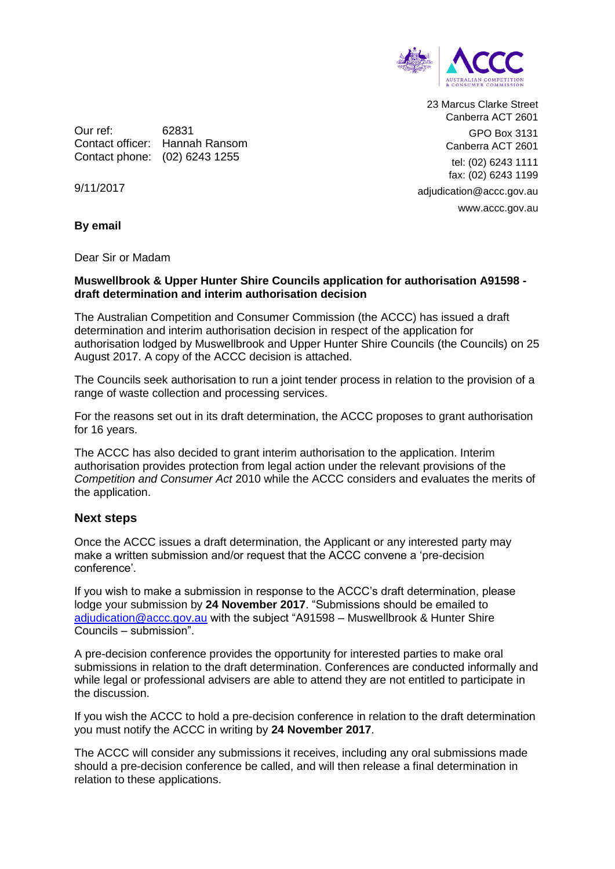

23 Marcus Clarke Street Canberra ACT 2601 GPO Box 3131 Canberra ACT 2601 tel: (02) 6243 1111 fax: (02) 6243 1199 adjudication@accc.gov.au www.accc.gov.au

Our ref: 62831 Contact officer: Hannah Ransom Contact phone: (02) 6243 1255

9/11/2017

**By email**

Dear Sir or Madam

## **Muswellbrook & Upper Hunter Shire Councils application for authorisation A91598 draft determination and interim authorisation decision**

The Australian Competition and Consumer Commission (the ACCC) has issued a draft determination and interim authorisation decision in respect of the application for authorisation lodged by Muswellbrook and Upper Hunter Shire Councils (the Councils) on 25 August 2017. A copy of the ACCC decision is attached.

The Councils seek authorisation to run a joint tender process in relation to the provision of a range of waste collection and processing services.

For the reasons set out in its draft determination, the ACCC proposes to grant authorisation for 16 years.

The ACCC has also decided to grant interim authorisation to the application. Interim authorisation provides protection from legal action under the relevant provisions of the *Competition and Consumer Act* 2010 while the ACCC considers and evaluates the merits of the application.

## **Next steps**

Once the ACCC issues a draft determination, the Applicant or any interested party may make a written submission and/or request that the ACCC convene a 'pre-decision conference'.

If you wish to make a submission in response to the ACCC's draft determination, please lodge your submission by **24 November 2017**. "Submissions should be emailed to [adjudication@accc.gov.au](mailto:adjudication@accc.gov.au) with the subject "A91598 – Muswellbrook & Hunter Shire Councils – submission".

A pre-decision conference provides the opportunity for interested parties to make oral submissions in relation to the draft determination. Conferences are conducted informally and while legal or professional advisers are able to attend they are not entitled to participate in the discussion.

If you wish the ACCC to hold a pre-decision conference in relation to the draft determination you must notify the ACCC in writing by **24 November 2017**.

The ACCC will consider any submissions it receives, including any oral submissions made should a pre-decision conference be called, and will then release a final determination in relation to these applications.